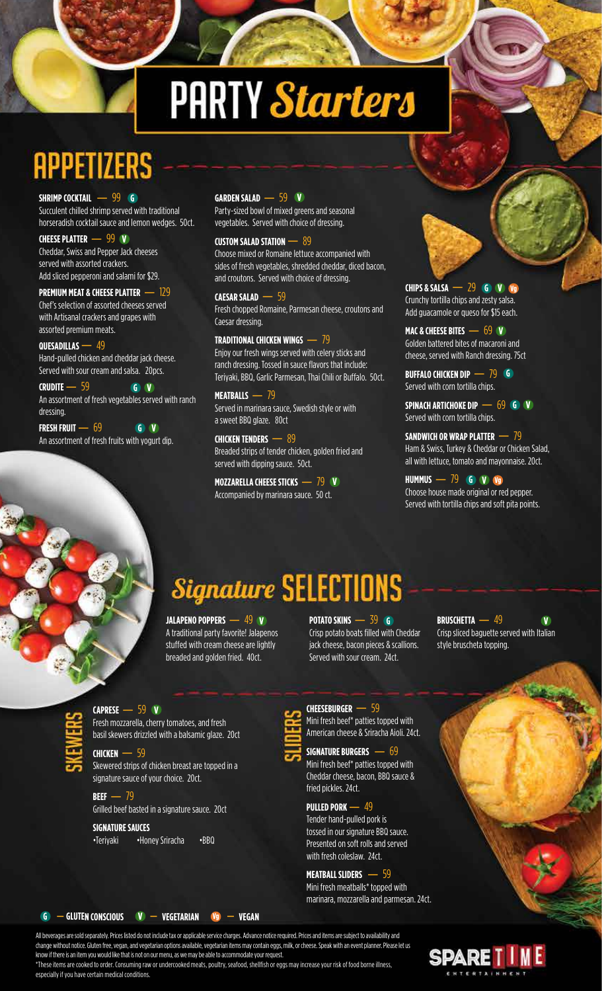# **PARTY Starters**

# **SHRIMP COCKTAIL –– 99 G**

**G** Succulent chilled shrimp served with traditional horseradish cocktail sauce and lemon wedges. 50ct.

horseradish cocktail sauce and<br>**CHEESE PLATTER —— 99 <mark>V</mark>** Cheddar, Swiss and Pepper Jack cheeses served with assorted crackers. Add sliced pepperoni and salami for \$29.

**PREMIUM MEAT & CHEESE PLATTER –** <sup>129</sup>

Chef's selection of assorted cheeses served with Artisanal crackers and grapes with assorted premium meats.

#### **QUESADILLAS** – 49

Hand-pulled chicken and cheddar jack cheese. Served with sour cream and salsa. 20pcs.

**G V CRUDITE –** <sup>59</sup> An assortment of fresh vegetables served with ranch dressing.

**G V FRESH FRUIT –** <sup>69</sup> An assortment of fresh fruits with yogurt dip.

### **V GARDEN SALAD –** <sup>59</sup>

Party-sized bowl of mixed greens and seasonal vegetables. Served with choice of dressing.

#### **CUSTOM SALAD STATION –** <sup>89</sup>

Choose mixed or Romaine lettuce accompanied with sides of fresh vegetables, shredded cheddar, diced bacon, and croutons. Served with choice of dressing.

and croutons. Served w<br>**CAESAR SALAD** — 59 Fresh chopped Romaine, Parmesan cheese, croutons and Caesar dressing.

#### **TRADITIONAL CHICKEN WINGS - 79**

Enjoy our fresh wings served with celery sticks and ranch dressing. Tossed in sauce flavors that include: Teriyaki, BBQ, Garlic Parmesan, Thai Chili or Buffalo. 50ct.

**MEATBALLS –** <sup>79</sup> Served in marinara sauce, Swedish style or with a sweet BBQ glaze. 80ct

**CHICKEN TENDERS –** <sup>89</sup> Breaded strips of tender chicken, golden fried and served with dipping sauce. 50ct.

Served With dipping sauce. Soct.<br>**MOZZARELLA CHEESE STICKS — 79 <mark>V</mark>** Accompanied by marinara sauce. 50 ct.

#### **G V Vg CHIPS & SALSA –** <sup>29</sup> Crunchy tortilla chips and zesty salsa. Add guacamole or queso for \$15 each.

**V MAC & CHEESE BITES –** <sup>69</sup> Golden battered bites of macaroni and cheese, served with Ranch dressing. 75ct

**G BUFFALO CHICKEN DIP –** <sup>79</sup> Served with corn tortilla chips.

Served With Corn Cortilla Chips.<br>**SPINACH ARTICHOKE DIP —– 69 GD V** Served with corn tortilla chips.

#### **SANDWICH OR WRAP PLATTER – 79**

Ham & Swiss, Turkey & Cheddar or Chicken Salad, all with lettuce, tomato and mayonnaise. 20ct.

an with lettuce, tomato and may<br>**HUMMUS** — 79 **G V V** Choose house made original or red pepper. Served with tortilla chips and soft pita points.

## *Signature SELECTIONS*<br>JALAPENO POPPERS — 49 W

A traditional party favorite! Jalapenos stuffed with cream cheese are lightly breaded and golden fried. 40ct.

**V POTATO SKINS** — 39 **G** Crisp potato boats filled with Cheddar jack cheese, bacon pieces & scallions. Served with sour cream. 24ct.

**V BRUSCHETTA –** <sup>49</sup> Crisp sliced baguette served with Italian style bruscheta topping.

# **V CAPRESE –** <sup>59</sup>

Fresh mozzarella, cherry tomatoes, and fresh basil skewers drizzled with a balsamic glaze. 20ct

#### **CHICKEN –** <sup>59</sup>

Skewered strips of chicken breast are topped in a signature sauce of your choice. 20ct.

**BEEF –** <sup>79</sup> Grilled beef basted in a signature sauce. 20ct

#### **SIGNATURE SAUCES**

•Teriyaki •Honey Sriracha •BBQ

**<sup>G</sup> - GLUTEN CONSCIOUS <sup>V</sup> - VEGETARIAN Vg - VEGAN**

**CHEESEBURGER –** <sup>59</sup>

Mini fresh beef\* patties topped with American cheese & Sriracha Aioli. 24ct.



**SIGNATURE BURGERS –** <sup>69</sup> Mini fresh beef\* patties topped with Cheddar cheese, bacon, BBQ sauce & fried pickles. 24ct.

**PULLED PORK –** <sup>49</sup>

Tender hand-pulled pork is tossed in our signature BBQ sauce. Presented on soft rolls and served with fresh coleslaw. 24ct.

#### **MEATBALL SLIDERS –** <sup>59</sup>

Mini fresh meatballs\* topped with marinara, mozzarella and parmesan. 24ct.

All beverages are sold separately. Prices listed do not include tax or applicable service charges. Advance notice required. Prices and items are subject to availability and change without notice. Gluten free, vegan, and vegetarian options available, vegetarian items may contain eggs, milk, or cheese. Speak with an event planner. Please let us know if there is an item you would like that is not on our menu, as we may be able to accommodate your request.

\*These items are cooked to order. Consuming raw or undercooked meats, poultry, seafood, shellfish or eggs may increase your risk of food borne illness, especially if you have certain medical conditions.